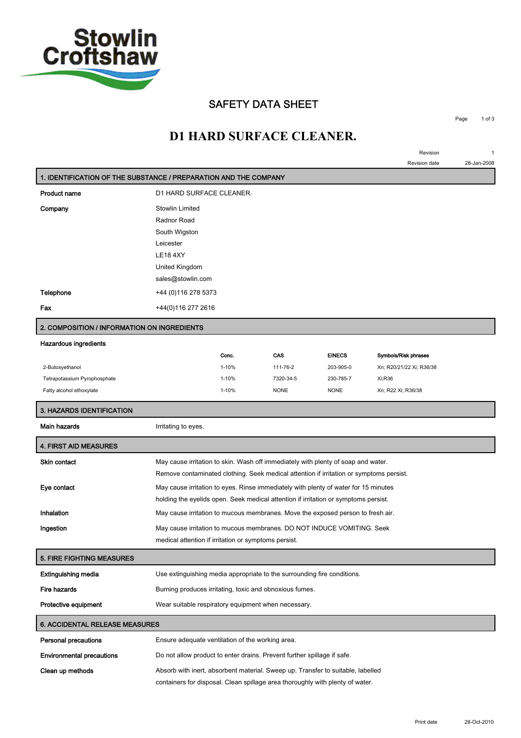

#### **SAFETY DATA SHEET**

**Page 1 of 3**

**Revision 1 Revision date 28-Jan-2008**

## **D1 HARD SURFACE CLEANER.**

| 1. IDENTIFICATION OF THE SUBSTANCE / PREPARATION AND THE COMPANY |                                                                                         |                                                         |             |               |                          |
|------------------------------------------------------------------|-----------------------------------------------------------------------------------------|---------------------------------------------------------|-------------|---------------|--------------------------|
| <b>Product name</b>                                              | D1 HARD SURFACE CLEANER.                                                                |                                                         |             |               |                          |
| Company                                                          | Stowlin Limited                                                                         |                                                         |             |               |                          |
|                                                                  | Radnor Road                                                                             |                                                         |             |               |                          |
|                                                                  | South Wigston                                                                           |                                                         |             |               |                          |
|                                                                  | Leicester                                                                               |                                                         |             |               |                          |
|                                                                  | <b>LE18 4XY</b>                                                                         |                                                         |             |               |                          |
|                                                                  | United Kingdom                                                                          |                                                         |             |               |                          |
|                                                                  | sales@stowlin.com                                                                       |                                                         |             |               |                          |
| Telephone                                                        | +44 (0) 116 278 5373                                                                    |                                                         |             |               |                          |
| Fax                                                              | +44(0)116 277 2616                                                                      |                                                         |             |               |                          |
| 2. COMPOSITION / INFORMATION ON INGREDIENTS                      |                                                                                         |                                                         |             |               |                          |
| <b>Hazardous ingredients</b>                                     |                                                                                         |                                                         |             |               |                          |
|                                                                  |                                                                                         | Conc.                                                   | CAS         | <b>EINECS</b> | Symbols/Risk phrases     |
| 2-Butoxyethanol                                                  |                                                                                         | $1 - 10%$                                               | 111-76-2    | 203-905-0     | Xn; R20/21/22 Xi; R36/38 |
| Tetrapotassium Pyrophosphate                                     |                                                                                         | $1 - 10%$                                               | 7320-34-5   | 230-785-7     | Xi;R36                   |
| Fatty alcohol ethoxylate                                         |                                                                                         | 1-10%                                                   | <b>NONE</b> | <b>NONE</b>   | Xn; R22 Xi; R36/38       |
| 3. HAZARDS IDENTIFICATION                                        |                                                                                         |                                                         |             |               |                          |
| Main hazards                                                     | Irritating to eyes.                                                                     |                                                         |             |               |                          |
| <b>4. FIRST AID MEASURES</b>                                     |                                                                                         |                                                         |             |               |                          |
| Skin contact                                                     | May cause irritation to skin. Wash off immediately with plenty of soap and water.       |                                                         |             |               |                          |
|                                                                  | Remove contaminated clothing. Seek medical attention if irritation or symptoms persist. |                                                         |             |               |                          |
| Eye contact                                                      | May cause irritation to eyes. Rinse immediately with plenty of water for 15 minutes     |                                                         |             |               |                          |
|                                                                  | holding the eyelids open. Seek medical attention if irritation or symptoms persist.     |                                                         |             |               |                          |
| Inhalation                                                       | May cause irritation to mucous membranes. Move the exposed person to fresh air.         |                                                         |             |               |                          |
| Ingestion                                                        | May cause irritation to mucous membranes. DO NOT INDUCE VOMITING. Seek                  |                                                         |             |               |                          |
|                                                                  | medical attention if irritation or symptoms persist.                                    |                                                         |             |               |                          |
| <b>5. FIRE FIGHTING MEASURES</b>                                 |                                                                                         |                                                         |             |               |                          |
| Extinguishing media                                              | Use extinguishing media appropriate to the surrounding fire conditions.                 |                                                         |             |               |                          |
| Fire hazards                                                     |                                                                                         | Burning produces irritating, toxic and obnoxious fumes. |             |               |                          |
| Protective equipment                                             | Wear suitable respiratory equipment when necessary.                                     |                                                         |             |               |                          |
| <b>6. ACCIDENTAL RELEASE MEASURES</b>                            |                                                                                         |                                                         |             |               |                          |
| <b>Personal precautions</b>                                      | Ensure adequate ventilation of the working area.                                        |                                                         |             |               |                          |
| <b>Environmental precautions</b>                                 | Do not allow product to enter drains. Prevent further spillage if safe.                 |                                                         |             |               |                          |
| Clean up methods                                                 | Absorb with inert, absorbent material. Sweep up. Transfer to suitable, labelled         |                                                         |             |               |                          |
|                                                                  | containers for disposal. Clean spillage area thoroughly with plenty of water.           |                                                         |             |               |                          |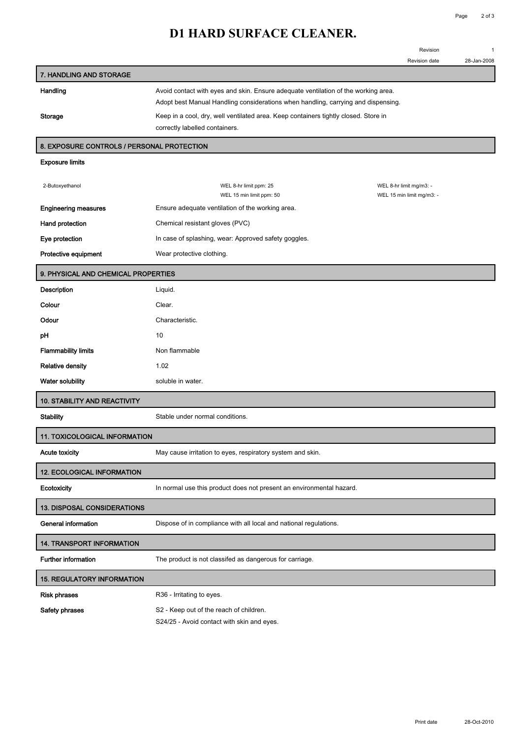## **D1 HARD SURFACE CLEANER.**

|                                            |                                                                                     | Revision                                             | 1           |  |  |
|--------------------------------------------|-------------------------------------------------------------------------------------|------------------------------------------------------|-------------|--|--|
|                                            |                                                                                     | Revision date                                        | 28-Jan-2008 |  |  |
| 7. HANDLING AND STORAGE                    |                                                                                     |                                                      |             |  |  |
| Handling                                   | Avoid contact with eyes and skin. Ensure adequate ventilation of the working area.  |                                                      |             |  |  |
|                                            | Adopt best Manual Handling considerations when handling, carrying and dispensing.   |                                                      |             |  |  |
| <b>Storage</b>                             | Keep in a cool, dry, well ventilated area. Keep containers tightly closed. Store in |                                                      |             |  |  |
|                                            | correctly labelled containers.                                                      |                                                      |             |  |  |
| 8. EXPOSURE CONTROLS / PERSONAL PROTECTION |                                                                                     |                                                      |             |  |  |
| <b>Exposure limits</b>                     |                                                                                     |                                                      |             |  |  |
|                                            |                                                                                     |                                                      |             |  |  |
| 2-Butoxyethanol                            | WEL 8-hr limit ppm: 25<br>WEL 15 min limit ppm: 50                                  | WEL 8-hr limit mg/m3: -<br>WEL 15 min limit mg/m3: - |             |  |  |
| <b>Engineering measures</b>                | Ensure adequate ventilation of the working area.                                    |                                                      |             |  |  |
|                                            | Chemical resistant gloves (PVC)                                                     |                                                      |             |  |  |
| Hand protection                            |                                                                                     |                                                      |             |  |  |
| Eye protection                             | In case of splashing, wear: Approved safety goggles.                                |                                                      |             |  |  |
| Protective equipment                       | Wear protective clothing.                                                           |                                                      |             |  |  |
| 9. PHYSICAL AND CHEMICAL PROPERTIES        |                                                                                     |                                                      |             |  |  |
| Description                                | Liquid.                                                                             |                                                      |             |  |  |
| Colour                                     | Clear.                                                                              |                                                      |             |  |  |
| Odour                                      | Characteristic.                                                                     |                                                      |             |  |  |
| рH                                         | 10                                                                                  |                                                      |             |  |  |
| <b>Flammability limits</b>                 | Non flammable                                                                       |                                                      |             |  |  |
| <b>Relative density</b>                    | 1.02                                                                                |                                                      |             |  |  |
| Water solubility                           | soluble in water.                                                                   |                                                      |             |  |  |
| <b>10. STABILITY AND REACTIVITY</b>        |                                                                                     |                                                      |             |  |  |
| <b>Stability</b>                           | Stable under normal conditions.                                                     |                                                      |             |  |  |
| <b>11. TOXICOLOGICAL INFORMATION</b>       |                                                                                     |                                                      |             |  |  |
| <b>Acute toxicity</b>                      | May cause irritation to eyes, respiratory system and skin.                          |                                                      |             |  |  |
| <b>12. ECOLOGICAL INFORMATION</b>          |                                                                                     |                                                      |             |  |  |
| Ecotoxicity                                | In normal use this product does not present an environmental hazard.                |                                                      |             |  |  |
| 13. DISPOSAL CONSIDERATIONS                |                                                                                     |                                                      |             |  |  |

**General information Dispose of in compliance with all local and national regulations.**

**14. TRANSPORT INFORMATION**

**Further information The product is not classifed as dangerous for carriage.**

# **15. REGULATORY INFORMATION**

| Risk phrases   | R <sub>36</sub> - Irritating to eyes.               |
|----------------|-----------------------------------------------------|
| Safety phrases | S <sub>2</sub> - Keep out of the reach of children. |
|                | S24/25 - Avoid contact with skin and eyes.          |